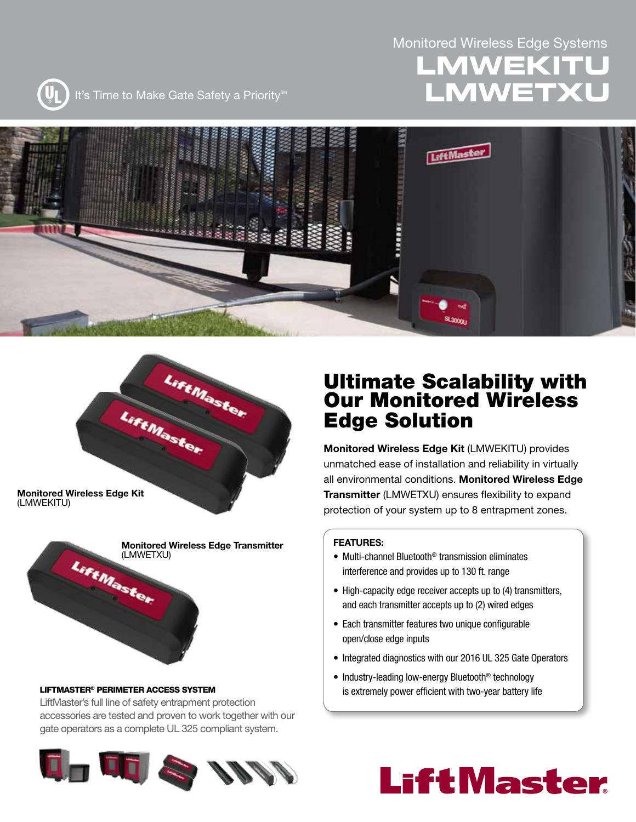## Monitored Wireless Edge Systems **LMWEKITU LMWETXU**



It's Time to Make Gate Safety a Priority<sup>SM</sup>





**Monitored Wireless Edge Kit**  (LMWEKITU)



#### LIFTMASTER® PERIMETER ACCESS SYSTEM

LiftMaster's full line of safety entrapment protection accessories are tested and proven to work together with our gate operators as a complete UL 325 compliant system.



## Ultimate Scalability with Our Monitored Wireless Edge Solution

**Monitored Wireless Edge Kit** (LMWEKITU) provides unmatched ease of installation and reliability in virtually all environmental conditions. **Monitored Wireless Edge Transmitter** (LMWETXU) ensures flexibility to expand protection of your system up to 8 entrapment zones.

#### **FEATURES:**

- Multi-channel Bluetooth® transmission eliminates interference and provides up to 130 ft. range
- High-capacity edge receiver accepts up to (4) transmitters, and each transmitter accepts up to (2) wired edges
- Each transmitter features two unique configurable open/close edge inputs
- Integrated diagnostics with our 2016 UL 325 Gate Operators
- Industry-leading low-energy Bluetooth<sup>®</sup> technology is extremely power efficient with two-year battery life

# **LiftMaster**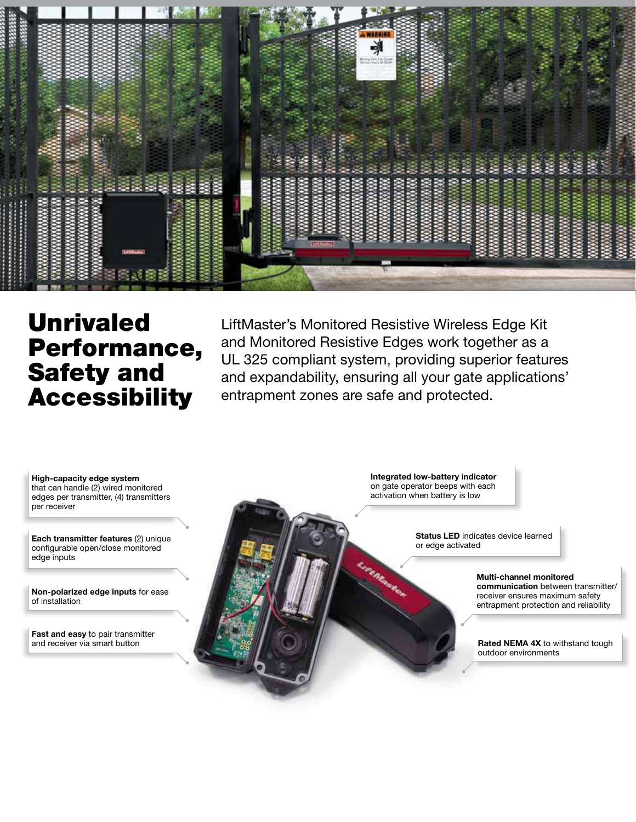

## Unrivaled Performance, Safety and **Accessibility**

LiftMaster's Monitored Resistive Wireless Edge Kit and Monitored Resistive Edges work together as a UL 325 compliant system, providing superior features and expandability, ensuring all your gate applications' entrapment zones are safe and protected.

**SARA** 

**High-capacity edge system** that can handle (2) wired monitored edges per transmitter, (4) transmitters per receiver

**Each transmitter features** (2) unique configurable open/close monitored edge inputs

**Non-polarized edge inputs** for ease of installation

**Fast and easy** to pair transmitter and receiver via smart button

**Integrated low-battery indicator** on gate operator beeps with each activation when battery is low

> **Status LED** indicates device learned or edge activated

> > **Multi-channel monitored communication** between transmitter/ receiver ensures maximum safety entrapment protection and reliability

**Rated NEMA 4X** to withstand tough outdoor environments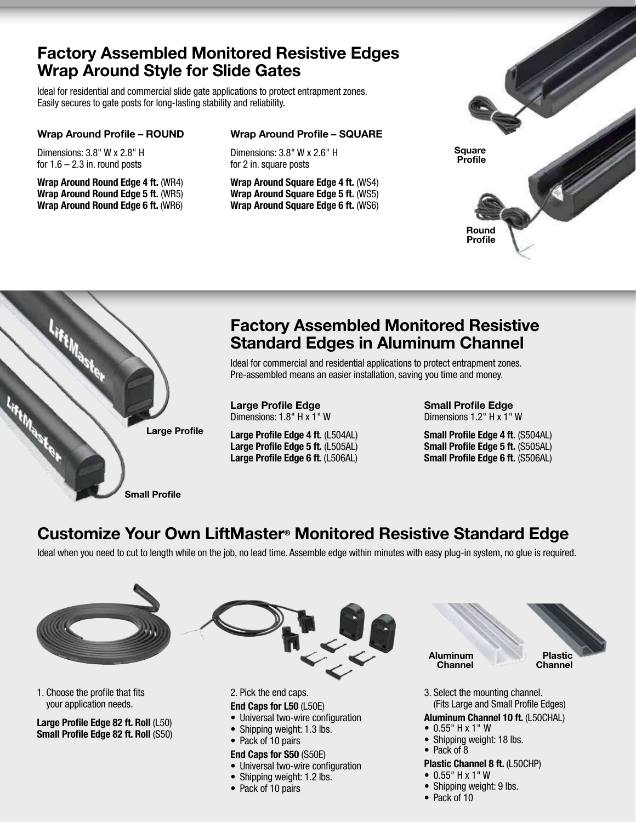### **Factory Assembled Monitored Resistive Edges Wrap Around Style for Slide Gates**

Ideal for residential and commercial slide gate applications to protect entrapment zones. Easily secures to gate posts for long-lasting stability and reliability.

#### **Wrap Around Profile – ROUND**

Dimensions: 3.8" W x 2.8" H for  $1.6 - 2.3$  in. round posts

**Wrap Around Round Edge 4 ft.** (WR4) **Wrap Around Round Edge 5 ft.** (WR5) **Wrap Around Round Edge 6 ft.** (WR6)

#### **Wrap Around Profile – SQUARE**

Dimensions: 3.8" W x 2.6" H for 2 in. square posts

**Wrap Around Square Edge 4 ft.** (WS4) **Wrap Around Square Edge 5 ft.** (WS5) **Wrap Around Square Edge 6 ft.** (WS6)





### **Factory Assembled Monitored Resistive Standard Edges in Aluminum Channel**

Ideal for commercial and residential applications to protect entrapment zones. Pre-assembled means an easier installation, saving you time and money.

**Large Profile Edge** Dimensions: 1.8" H x 1" W

**Large Profile Edge 4 ft.** (L504AL) **Large Profile Edge 5 ft.** (L505AL) **Large Profile Edge 6 ft.** (L506AL) **Small Profile Edge**  Dimensions 1.2" H x 1" W

**Small Profile Edge 4 ft.** (S504AL) **Small Profile Edge 5 ft.** (S505AL) **Small Profile Edge 6 ft.** (S506AL)

### **Customize Your Own LiftMaster® Monitored Resistive Standard Edge**

Ideal when you need to cut to length while on the job, no lead time. Assemble edge within minutes with easy plug-in system, no glue is required.



1. Choose the profile that fits your application needs.

**Large Profile Edge 82 ft. Roll** (L50) **Small Profile Edge 82 ft. Roll** (S50)



2. Pick the end caps. **End Caps for L50** (L50E)

- 
- Universal two-wire configuration
- Shipping weight: 1.3 lbs.

#### • Pack of 10 pairs

- **End Caps for S50** (S50E)
- Universal two-wire configuration
- Shipping weight: 1.2 lbs.
- Pack of 10 pairs



- Shipping weight: 9 lbs.
- Pack of 10